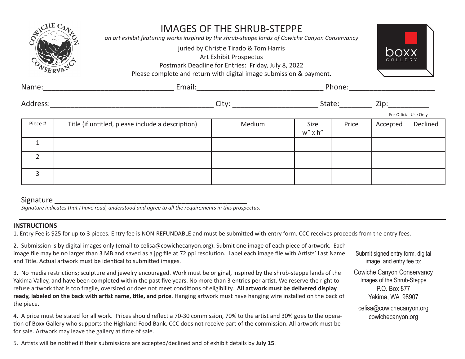| CHEC           |                                                   | <b>IMAGES OF THE SHRUB-STEPPE</b><br>an art exhibit featuring works inspired by the shrub-steppe lands of Cowiche Canyon Conservancy<br>juried by Christie Tirado & Tom Harris<br>Art Exhibit Prospectus<br>Postmark Deadline for Entries: Friday, July 8, 2022<br>Please complete and return with digital image submission & payment. |                       |        |                                                                                                                | GALLER                |
|----------------|---------------------------------------------------|----------------------------------------------------------------------------------------------------------------------------------------------------------------------------------------------------------------------------------------------------------------------------------------------------------------------------------------|-----------------------|--------|----------------------------------------------------------------------------------------------------------------|-----------------------|
| Name:          |                                                   |                                                                                                                                                                                                                                                                                                                                        |                       | Phone: |                                                                                                                |                       |
| Address:       |                                                   |                                                                                                                                                                                                                                                                                                                                        |                       | State: | Zip: where the contract of the contract of the contract of the contract of the contract of the contract of the |                       |
|                |                                                   |                                                                                                                                                                                                                                                                                                                                        |                       |        |                                                                                                                | For Official Use Only |
| Piece #        | Title (if untitled, please include a description) | Medium                                                                                                                                                                                                                                                                                                                                 | Size<br>$w''$ x $h''$ | Price  | Accepted                                                                                                       | Declined              |
|                |                                                   |                                                                                                                                                                                                                                                                                                                                        |                       |        |                                                                                                                |                       |
| $\overline{2}$ |                                                   |                                                                                                                                                                                                                                                                                                                                        |                       |        |                                                                                                                |                       |
| 3              |                                                   |                                                                                                                                                                                                                                                                                                                                        |                       |        |                                                                                                                |                       |

# Signature \_\_\_\_\_\_\_\_\_\_\_\_\_\_\_\_\_\_\_\_\_\_\_\_\_\_\_\_\_\_\_\_\_\_\_\_\_\_\_\_\_\_\_\_\_\_\_

*Signature indicates that I have read, understood and agree to all the requirements in this prospectus.*

# **INSTRUCTIONS**

1. Entry Fee is \$25 for up to 3 pieces. Entry fee is NON-REFUNDABLE and must be submitted with entry form. CCC receives proceeds from the entry fees.

2. Submission is by digital images only (email to celisa@cowichecanyon.org). Submit one image of each piece of artwork. Each image file may be no larger than 3 MB and saved as a jpg file at 72 ppi resolution. Label each image file with Artists' Last Name and Title. Actual artwork must be identical to submitted images.

3. No media restrictions; sculpture and jewelry encouraged. Work must be original, inspired by the shrub-steppe lands of the Yakima Valley, and have been completed within the past five years. No more than 3 entries per artist. We reserve the right to refuse artwork that is too fragile, oversized or does not meet conditions of eligibility. **All artwork must be delivered display ready, labeled on the back with artist name, title, and price**. Hanging artwork must have hanging wire installed on the back of the piece.

4. A price must be stated for all work. Prices should reflect a 70-30 commission, 70% to the artist and 30% goes to the operation of Boxx Gallery who supports the Highland Food Bank. CCC does not receive part of the commission. All artwork must be for sale. Artwork may leave the gallery at time of sale.

5. Artists will be notified if their submissions are accepted/declined and of exhibit details by **July 15**.

Submit signed entry form, digital image, and entry fee to:

Cowiche Canyon Conservancy Images of the Shrub-Steppe P.O. Box 877 Yakima, WA 98907

celisa@cowichecanyon.org cowichecanyon.org